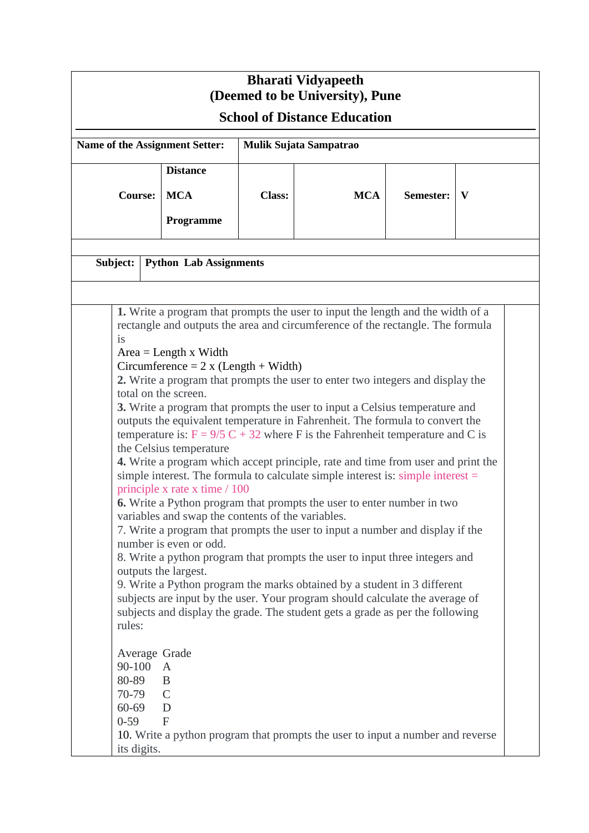| <b>Bharati Vidyapeeth</b><br>(Deemed to be University), Pune<br><b>School of Distance Education</b>                                                                                                                                                                                                                                                                                                                                                                                                                                                                                                                                                                                                                                                                                                                                                                                                                                                                                                                                                                                                                                                                                                                                                                                                                                                                                                                                                                                                                                                                                           |            |               |            |           |   |
|-----------------------------------------------------------------------------------------------------------------------------------------------------------------------------------------------------------------------------------------------------------------------------------------------------------------------------------------------------------------------------------------------------------------------------------------------------------------------------------------------------------------------------------------------------------------------------------------------------------------------------------------------------------------------------------------------------------------------------------------------------------------------------------------------------------------------------------------------------------------------------------------------------------------------------------------------------------------------------------------------------------------------------------------------------------------------------------------------------------------------------------------------------------------------------------------------------------------------------------------------------------------------------------------------------------------------------------------------------------------------------------------------------------------------------------------------------------------------------------------------------------------------------------------------------------------------------------------------|------------|---------------|------------|-----------|---|
| Name of the Assignment Setter:<br>Mulik Sujata Sampatrao                                                                                                                                                                                                                                                                                                                                                                                                                                                                                                                                                                                                                                                                                                                                                                                                                                                                                                                                                                                                                                                                                                                                                                                                                                                                                                                                                                                                                                                                                                                                      |            |               |            |           |   |
| <b>Distance</b>                                                                                                                                                                                                                                                                                                                                                                                                                                                                                                                                                                                                                                                                                                                                                                                                                                                                                                                                                                                                                                                                                                                                                                                                                                                                                                                                                                                                                                                                                                                                                                               |            |               |            |           |   |
| <b>Course:</b>                                                                                                                                                                                                                                                                                                                                                                                                                                                                                                                                                                                                                                                                                                                                                                                                                                                                                                                                                                                                                                                                                                                                                                                                                                                                                                                                                                                                                                                                                                                                                                                | <b>MCA</b> | <b>Class:</b> | <b>MCA</b> | Semester: | V |
|                                                                                                                                                                                                                                                                                                                                                                                                                                                                                                                                                                                                                                                                                                                                                                                                                                                                                                                                                                                                                                                                                                                                                                                                                                                                                                                                                                                                                                                                                                                                                                                               | Programme  |               |            |           |   |
| Subject:<br><b>Python Lab Assignments</b>                                                                                                                                                                                                                                                                                                                                                                                                                                                                                                                                                                                                                                                                                                                                                                                                                                                                                                                                                                                                                                                                                                                                                                                                                                                                                                                                                                                                                                                                                                                                                     |            |               |            |           |   |
|                                                                                                                                                                                                                                                                                                                                                                                                                                                                                                                                                                                                                                                                                                                                                                                                                                                                                                                                                                                                                                                                                                                                                                                                                                                                                                                                                                                                                                                                                                                                                                                               |            |               |            |           |   |
| 1. Write a program that prompts the user to input the length and the width of a<br>rectangle and outputs the area and circumference of the rectangle. The formula<br>is<br>$Area = Length x Width$<br>Circumference = $2 x (Length + Width)$<br>2. Write a program that prompts the user to enter two integers and display the<br>total on the screen.<br>3. Write a program that prompts the user to input a Celsius temperature and<br>outputs the equivalent temperature in Fahrenheit. The formula to convert the<br>temperature is: $F = 9/5 C + 32$ where F is the Fahrenheit temperature and C is<br>the Celsius temperature<br>4. Write a program which accept principle, rate and time from user and print the<br>simple interest. The formula to calculate simple interest is: simple interest $=$<br>principle x rate x time / 100<br><b>6.</b> Write a Python program that prompts the user to enter number in two<br>variables and swap the contents of the variables.<br>7. Write a program that prompts the user to input a number and display if the<br>number is even or odd.<br>8. Write a python program that prompts the user to input three integers and<br>outputs the largest.<br>9. Write a Python program the marks obtained by a student in 3 different<br>subjects are input by the user. Your program should calculate the average of<br>subjects and display the grade. The student gets a grade as per the following<br>rules:<br>Average Grade<br>90-100<br>$\mathbf{A}$<br>80-89<br>B<br>70-79<br>$\mathcal{C}$<br>$60 - 69$<br>D<br>$0 - 59$<br>$\mathbf{F}$ |            |               |            |           |   |